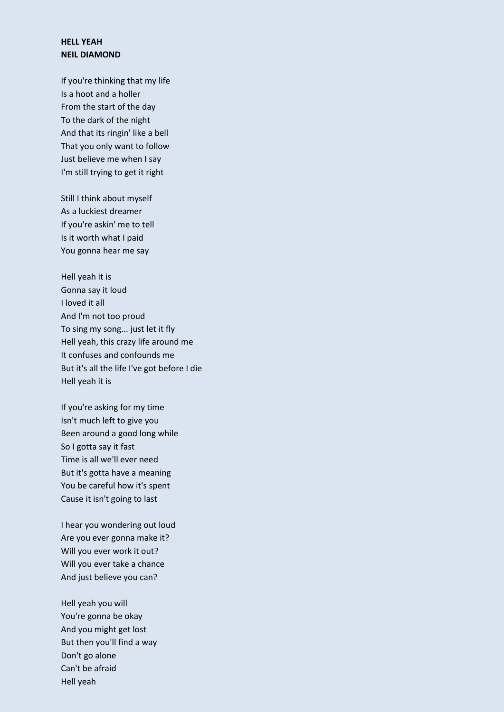## **HELL YEAH NEIL DIAMOND**

If you're thinking that my life Is a hoot and a holler From the start of the day To the dark of the night And that its ringin' like a bell That you only want to follow Just believe me when I say I'm still trying to get it right

Still I think about myself As a luckiest dreamer If you're askin' me to tell Is it worth what I paid You gonna hear me say

Hell yeah it is Gonna say it loud I loved it all And I'm not too proud To sing my song... just let it fly Hell yeah, this crazy life around me It confuses and confounds me But it's all the life I've got before I die Hell yeah it is

If you're asking for my time Isn't much left to give you Been around a good long while So I gotta say it fast Time is all we'll ever need But it's gotta have a meaning You be careful how it's spent Cause it isn't going to last

I hear you wondering out loud Are you ever gonna make it? Will you ever work it out? Will you ever take a chance And just believe you can?

Hell yeah you will You're gonna be okay And you might get lost But then you'll find a way Don't go alone Can't be afraid Hell yeah